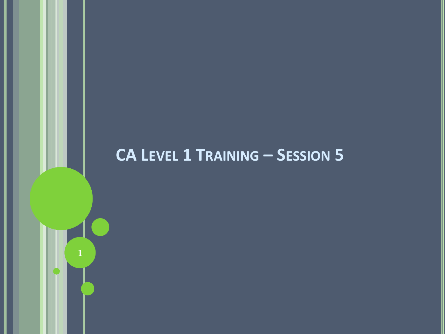#### **CA LEVEL 1 TRAINING - SESSION 5**

 $\mathbf{1}$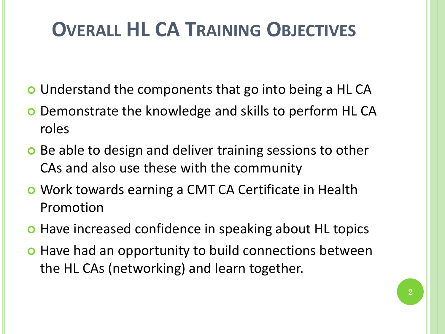# **OVERALL HL CA TRAINING OBJECTIVES**

- Understand the components that go into being a HL CA
- o Demonstrate the knowledge and skills to perform HL CA roles
- o Be able to design and deliver training sessions to other CAs and also use these with the community
- Work towards earning a CMT CA Certificate in Health Promotion
- **•** Have increased confidence in speaking about HL topics
- **o** Have had an opportunity to build connections between the HL CAs (networking) and learn together.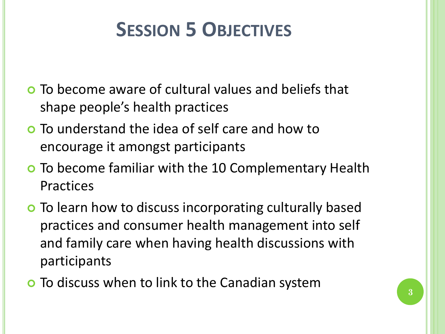### **SESSION 5 OBJECTIVES**

- To become aware of cultural values and beliefs that shape people's health practices
- To understand the idea of self care and how to encourage it amongst participants
- To become familiar with the 10 Complementary Health Practices
- **o** To learn how to discuss incorporating culturally based practices and consumer health management into self and family care when having health discussions with participants
- **o** To discuss when to link to the Canadian system  $\begin{array}{c} \bullet \\ 3 \end{array}$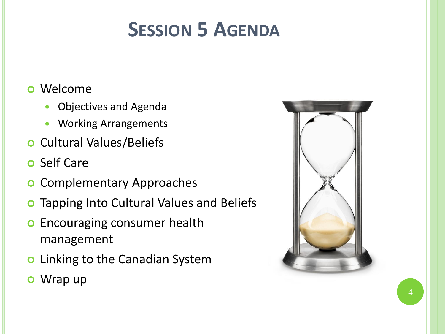# **SESSION 5 AGENDA**

#### Welcome

- Objectives and Agenda
- Working Arrangements
- **o** Cultural Values/Beliefs
- **o** Self Care
- **o** Complementary Approaches
- **o** Tapping Into Cultural Values and Beliefs
- **o** Encouraging consumer health management
- **o** Linking to the Canadian System
- Wrap up

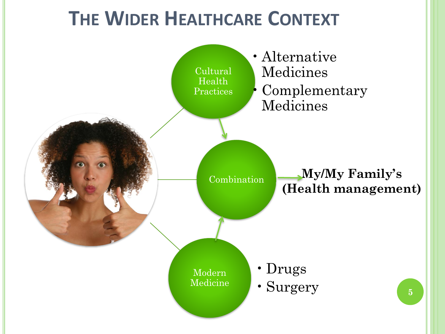## **THE WIDER HEALTHCARE CONTEXT**

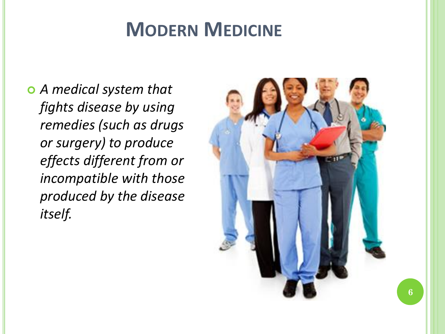### **MODERN MEDICINE**

 *A medical system that fights disease by using remedies (such as drugs or surgery) to produce effects different from or incompatible with those produced by the disease itself.*

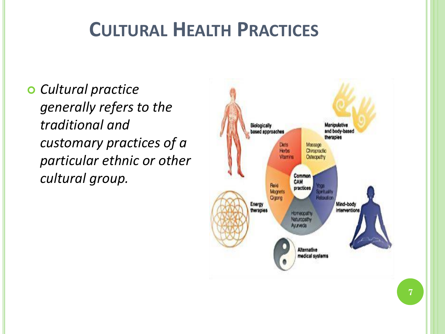## **CULTURAL HEALTH PRACTICES**

 *Cultural practice generally refers to the traditional and customary practices of a particular ethnic or other cultural group.*

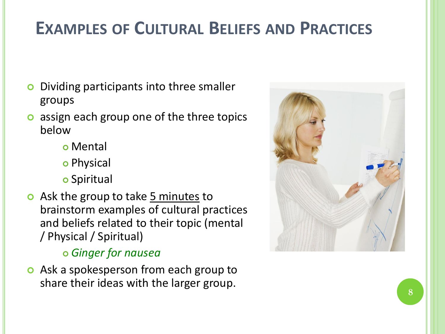### **EXAMPLES OF CULTURAL BELIEFS AND PRACTICES**

- Dividing participants into three smaller groups
- assign each group one of the three topics below
	- Mental
	- o Physical
	- **o** Spiritual
- **o** Ask the group to take 5 minutes to brainstorm examples of cultural practices and beliefs related to their topic (mental / Physical / Spiritual)

#### *Ginger for nausea*

**o** Ask a spokesperson from each group to share their ideas with the larger group.

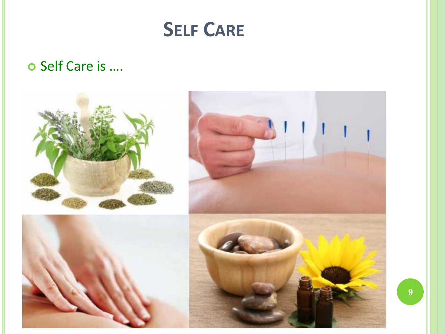

#### o Self Care is ....

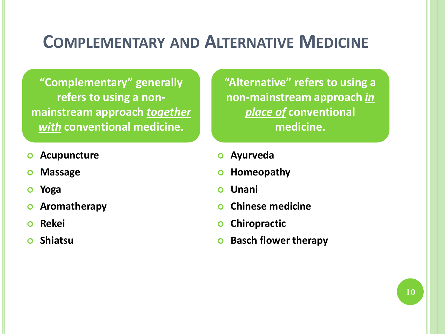#### **COMPLEMENTARY AND ALTERNATIVE MEDICINE**

**"Complementary" generally refers to using a nonmainstream approach** *together with* **conventional medicine.**

- **Acupuncture**
- **Massage**
- **Yoga**
- **Aromatherapy**
- **Rekei**
- **Shiatsu**

**"Alternative" refers to using a non-mainstream approach** *in place of* **conventional medicine.**

- **Ayurveda**
- **b** Homeopathy
- **Unani**
- **Chinese medicine**
- **o** Chiropractic
- **Basch flower therapy**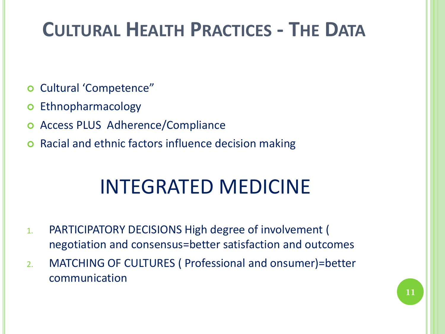## **CULTURAL HEALTH PRACTICES - THE DATA**

- Cultural 'Competence"
- **o** Ethnopharmacology
- Access PLUS Adherence/Compliance
- Racial and ethnic factors influence decision making

## INTEGRATED MEDICINE

- 1. PARTICIPATORY DECISIONS High degree of involvement ( negotiation and consensus=better satisfaction and outcomes
- 2. MATCHING OF CULTURES ( Professional and onsumer)=better communication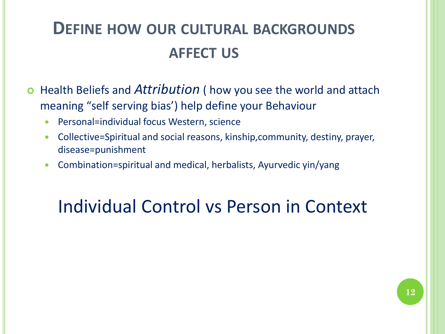### **DEFINE HOW OUR CULTURAL BACKGROUNDS AFFECT US**

- Health Beliefs and *Attribution* ( how you see the world and attach meaning "self serving bias') help define your Behaviour
	- Personal=individual focus Western, science
	- Collective=Spiritual and social reasons, kinship,community, destiny, prayer, disease=punishment
	- Combination=spiritual and medical, herbalists, Ayurvedic yin/yang

### Individual Control vs Person in Context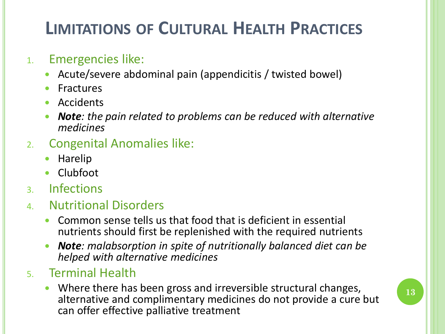### **LIMITATIONS OF CULTURAL HEALTH PRACTICES**

#### 1. Emergencies like:

- Acute/severe abdominal pain (appendicitis / twisted bowel)
- **•** Fractures
- Accidents
- *Note: the pain related to problems can be reduced with alternative medicines*
- 2. Congenital Anomalies like:
	- Harelip
	- Clubfoot
- 3. Infections
- 4. Nutritional Disorders
	- Common sense tells us that food that is deficient in essential nutrients should first be replenished with the required nutrients
	- *Note: malabsorption in spite of nutritionally balanced diet can be helped with alternative medicines*

#### 5. Terminal Health

 Where there has been gross and irreversible structural changes, alternative and complimentary medicines do not provide a cure but can offer effective palliative treatment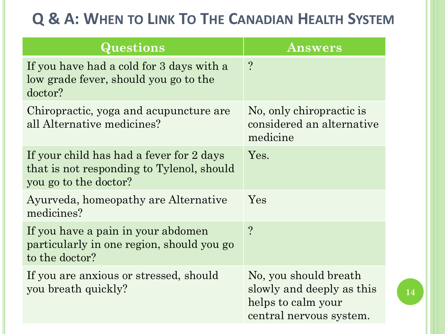#### **Q & A: WHEN TO LINK TO THE CANADIAN HEALTH SYSTEM**

| Questions                                                                                                      | <b>Answers</b>                                                                                      |
|----------------------------------------------------------------------------------------------------------------|-----------------------------------------------------------------------------------------------------|
| If you have had a cold for 3 days with a<br>low grade fever, should you go to the<br>doctor?                   | $\overline{?}$                                                                                      |
| Chiropractic, yoga and acupuncture are<br>all Alternative medicines?                                           | No, only chiropractic is<br>considered an alternative<br>medicine                                   |
| If your child has had a fever for 2 days<br>that is not responding to Tylenol, should<br>you go to the doctor? | Yes.                                                                                                |
| Ayurveda, homeopathy are Alternative<br>medicines?                                                             | Yes                                                                                                 |
| If you have a pain in your abdomen<br>particularly in one region, should you go<br>to the doctor?              | $\boldsymbol{Q}$                                                                                    |
| If you are anxious or stressed, should<br>you breath quickly?                                                  | No, you should breath<br>slowly and deeply as this<br>helps to calm your<br>central nervous system. |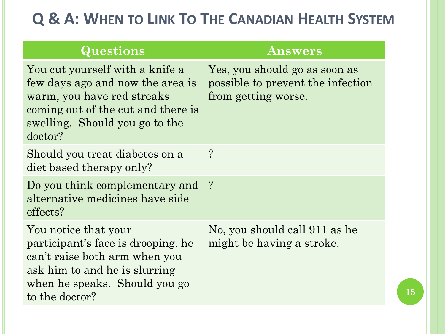#### **Q & A: WHEN TO LINK TO THE CANADIAN HEALTH SYSTEM**

| Questions                                                                                                                                                                            | <b>Answers</b>                                                                            |
|--------------------------------------------------------------------------------------------------------------------------------------------------------------------------------------|-------------------------------------------------------------------------------------------|
| You cut yourself with a knife a<br>few days ago and now the area is<br>warm, you have red streaks<br>coming out of the cut and there is<br>swelling. Should you go to the<br>doctor? | Yes, you should go as soon as<br>possible to prevent the infection<br>from getting worse. |
| Should you treat diabetes on a<br>diet based therapy only?                                                                                                                           | $\overline{?}$                                                                            |
| Do you think complementary and ?<br>alternative medicines have side<br>effects?                                                                                                      |                                                                                           |
| You notice that your<br>participant's face is drooping, he<br>can't raise both arm when you<br>ask him to and he is slurring<br>when he speaks. Should you go<br>to the doctor?      | No, you should call 911 as he<br>might be having a stroke.                                |